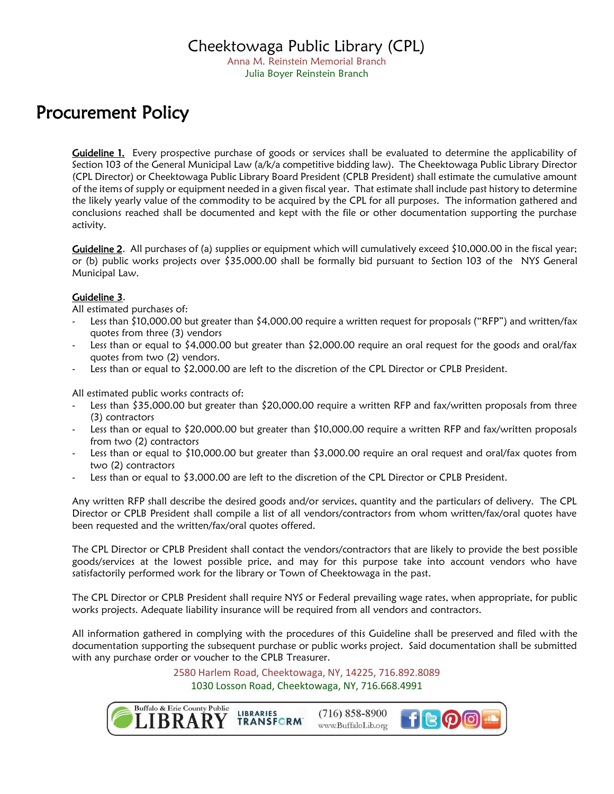Anna M. Reinstein Memorial Branch Julia Boyer Reinstein Branch

## Procurement Policy

Guideline 1. Every prospective purchase of goods or services shall be evaluated to determine the applicability of Section 103 of the General Municipal Law (a/k/a competitive bidding law). The Cheektowaga Public Library Director (CPL Director) or Cheektowaga Public Library Board President (CPLB President) shall estimate the cumulative amount of the items of supply or equipment needed in a given fiscal year. That estimate shall include past history to determine the likely yearly value of the commodity to be acquired by the CPL for all purposes. The information gathered and conclusions reached shall be documented and kept with the file or other documentation supporting the purchase activity.

Guideline 2. All purchases of (a) supplies or equipment which will cumulatively exceed \$10,000.00 in the fiscal year; or (b) public works projects over \$35,000.00 shall be formally bid pursuant to Section 103 of the NYS General Municipal Law.

## Guideline 3.

All estimated purchases of:

- Less than \$10,000.00 but greater than \$4,000.00 require a written request for proposals ("RFP") and written/fax quotes from three (3) vendors
- Less than or equal to \$4,000.00 but greater than \$2,000.00 require an oral request for the goods and oral/fax quotes from two (2) vendors.
- Less than or equal to \$2,000.00 are left to the discretion of the CPL Director or CPLB President.

All estimated public works contracts of:

- Less than \$35,000.00 but greater than \$20,000.00 require a written RFP and fax/written proposals from three (3) contractors
- Less than or equal to \$20,000.00 but greater than \$10,000.00 require a written RFP and fax/written proposals from two (2) contractors
- Less than or equal to \$10,000.00 but greater than \$3,000.00 require an oral request and oral/fax quotes from two (2) contractors
- Less than or equal to \$3,000.00 are left to the discretion of the CPL Director or CPLB President.

Any written RFP shall describe the desired goods and/or services, quantity and the particulars of delivery. The CPL Director or CPLB President shall compile a list of all vendors/contractors from whom written/fax/oral quotes have been requested and the written/fax/oral quotes offered.

The CPL Director or CPLB President shall contact the vendors/contractors that are likely to provide the best possible goods/services at the lowest possible price, and may for this purpose take into account vendors who have satisfactorily performed work for the library or Town of Cheektowaga in the past.

The CPL Director or CPLB President shall require NYS or Federal prevailing wage rates, when appropriate, for public works projects. Adequate liability insurance will be required from all vendors and contractors.

All information gathered in complying with the procedures of this Guideline shall be preserved and filed with the documentation supporting the subsequent purchase or public works project. Said documentation shall be submitted with any purchase order or voucher to the CPLB Treasurer.

> 2580 Harlem Road, Cheektowaga, NY, 14225, 716.892.8089 1030 Losson Road, Cheektowaga, NY, 716.668.4991